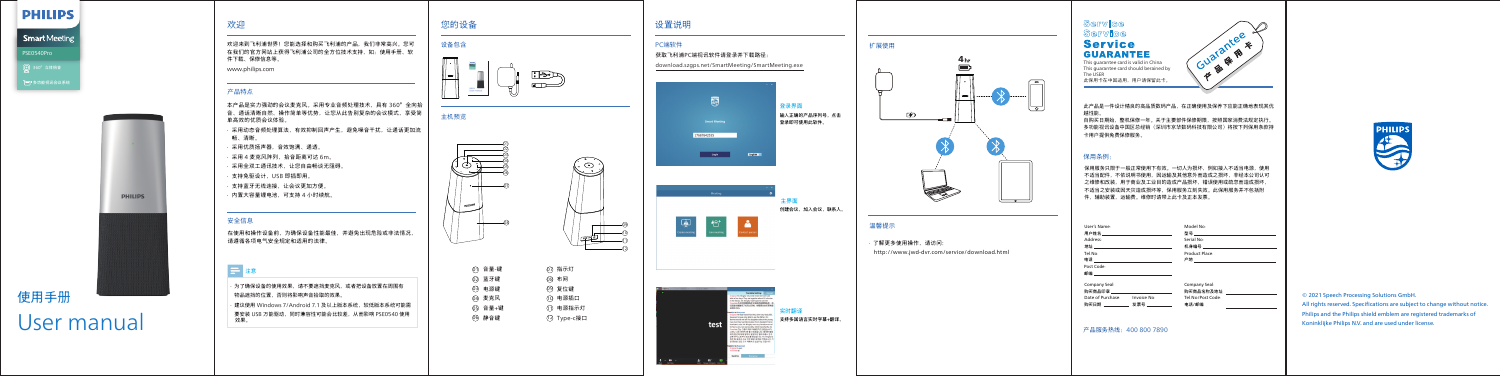## 欢迎

#### 产品特点

欢迎来到飞利浦世界!您能选择和购买飞利浦的产品,我们非常高兴。您可 在我们的官方网站上获得飞利浦公司的全方位技术支持,如:使用手册、软 件下载、保修信息等。 www.philips.com

本产品是实力强劲的会议麦克风。采用专业音频处理技术,具有 360°全向拾 音、通话清晰自然、操作简单等优势,让您从此告别复杂的会议模式,享受简 单高效的优质会议体验。

- · 采用动态音频处理算法,有效抑制回声产生,避免噪音干扰,让通话更加流 畅、清晰。
- · 采用优质扬声器,音效饱满、通透。
- 采用 4 麦克风阵列, 拾音距离可达 6m。
- · 采用全双工通讯技术,让您自由畅谈无阻碍。 · 支持免驱设计,USB 即插即用。
- 
- · 支持蓝牙无线连接,让会议更加方便。
- · 内置大容量锂电池,可支持 4 小时续航。

使用手册



# User manual

## 您的设备

#### 设备包含



## 设置说明

#### 主机预览

| の 音量-键  | ◎ 指示灯        |
|---------|--------------|
| ◎ 蓝牙键   | <b>Q3 布网</b> |
| ◎ 电源键   | 09 复位键       |
| ◎ 麦克风   | 10 电源插口      |
| 09 音量+键 | ⑴ 电源指示灯      |
| ◎ 静音键   | 12 Type-c接口  |
|         |              |

#### 温馨提示

· 了解更多使用操作,请访问:

http://www.jwd-dvr.com/service/download.html

## Service Service **Service GUARANTEE**

· 为了确保设备的使用效果,请不要遮挡麦克风,或者把设备放置在周围有 物品遮挡的位置,否则将影响声音拾取的效果。 ·建议使用 Windows 7/Android 7.1 及以上版本系统,较低版本系统可能需 要安装 USB 万能驱动,同时兼容性可能会比较差,从而影响 PSE0540 使用 效果。

## **PHILIPS**

## **Smart** Meeting PSE0540Pro

360°立体拾音 □■多功能视讯会议系统

#### 安全信息

在使用和操作设备前,为确保设备性能最佳,并避免出现危险或非法情况, 请遵循各项电气安全规定和适用的法律。

## 三注意

此产品是一件设计精良的高品质数码产品,在正确使用及保养下应能正确地表现其优 越性能。

> All rights reserved. Specifications are subject to change without notice. Philips and the Philips shield emblem are registered trademarks of Koninklijke Philips N.V. and are used under license.

This guarantee card is valid in China This guarantee card should berained by 此保用卡在中国适用,用户请保留此卡。 The ŬSER



自购买日期始,整机保修一年。关于主要部件保修期限,按照国家消费法规定执行。 多功能视讯设备中国区总经销(深圳市京华数码科技有限公司)将按下列保用条款持 卡用户提供免费保修服务。

保用服务只限于一般正常使用下有效。一切人为损坏,例如接入不适当电源,使用 不适当配件,不依说明书使用,因运输及其他意外而造成之损坏,非经本公司认可 之维修和改装,用于商业及工业目的造成产品损坏,错误使用或疏忽而造成损坏, 不适当之安装或因天灾造成损坏等,保用服务立刻失效。此保用服务并不包括附 件,辅助装置,运输费。维修时请带上此卡及正本发票。

#### 保用条例:

产品服务热线:400 800 7890

User's Name : Model No : 用户姓名 型号 Address : Serial No : 机身编号 地址 Tel .No : Product Place : 电话 产地 Post Code : 邮编 Company Seal : Company Seal : 购买商品印章 购买商品名称及地址 Date of Purchase: Invoice No: Tel .No/Post Code : 电话/邮编 购买日期 发票号 



© 2021 Speech Processing Solutions GmbH.



#### PC端软件

获取飞利浦PC端视讯软件请登录并下载路径:

download.szgps.net/SmartMeeting/SmartMeeting.exe





创建会议,加入会议,联系人。





10 11 12